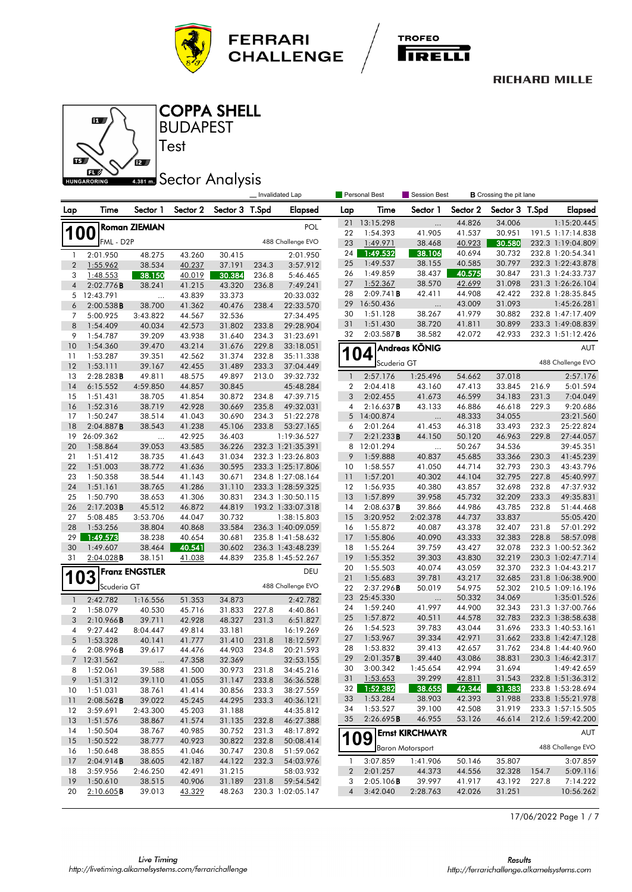





**BUDAPEST** COPPA SHELL

## **4.381 mm** Sector Analysis

Test

|                |                        |                       |                  |                  |                | Invalidated Lap                  | Personal Best<br>Session Best<br><b>B</b> Crossing the pit lane |                       |                         |                  |                  |       |                                  |
|----------------|------------------------|-----------------------|------------------|------------------|----------------|----------------------------------|-----------------------------------------------------------------|-----------------------|-------------------------|------------------|------------------|-------|----------------------------------|
| Lap            | Time                   | Sector 1              | Sector 2         | Sector 3 T.Spd   |                | <b>Elapsed</b>                   | Lap                                                             | Time                  | Sector 1                | Sector 2         | Sector 3 T.Spd   |       | <b>Elapsed</b>                   |
|                |                        | <b>Roman ZIEMIAN</b>  |                  |                  |                | POL                              | 21                                                              | 13:15.298             |                         | 44.826           | 34.006           |       | 1:15:20.445                      |
| <b>100</b>     |                        |                       |                  |                  |                |                                  | 22                                                              | 1:54.393              | 41.905                  | 41.537           | 30.951           |       | 191.5 1:17:14.838                |
|                | FML - D <sub>2</sub> P |                       |                  |                  |                | 488 Challenge EVO                | 23                                                              | 1:49.971              | 38.468                  | 40.923           | 30.580           |       | 232.3 1:19:04.809                |
| 1              | 2:01.950               | 48.275                | 43.260           | 30.415           |                | 2:01.950                         | 24                                                              | 1:49.532              | 38.106                  | 40.694           | 30.732           |       | 232.8 1:20:54.341                |
| $\overline{c}$ | 1:55.962               | 38.534                | 40.237           | 37.191           | 234.3          | 3:57.912                         | 25                                                              | 1:49.537              | 38.155                  | 40.585           | 30.797           |       | 232.3 1:22:43.878                |
| 3              | 1:48.553               | 38.150                | <u>40.019</u>    | 30.384           | 236.8          | 5:46.465                         | 26                                                              | 1:49.859              | 38.437                  | 40.575           | 30.847           |       | 231.3 1:24:33.737                |
| $\overline{4}$ | 2:02.776B              | 38.241                | 41.215           | 43.320           | 236.8          | 7:49.241                         | 27                                                              | 1:52.367              | 38.570                  | 42.699           | 31.098           |       | 231.3 1:26:26.104                |
| 5              | 12:43.791              |                       | 43.839           | 33.373           |                | 20:33.032                        | 28                                                              | 2:09.741B             | 42.411                  | 44.908           | 42.422           |       | 232.8 1:28:35.845                |
| 6              | 2:00.538B              | 38.700                | 41.362           | 40.476           | 238.4          | 22:33.570                        | 29<br>30                                                        | 16:50.436<br>1:51.128 | <br>38.267              | 43.009<br>41.979 | 31.093<br>30.882 |       | 1:45:26.281<br>232.8 1:47:17.409 |
| 7              | 5:00.925               | 3:43.822              | 44.567           | 32.536           |                | 27:34.495                        | 31                                                              | 1:51.430              | 38.720                  | 41.811           | 30.899           |       | 233.3 1:49:08.839                |
| 8<br>9         | 1:54.409<br>1:54.787   | 40.034<br>39.209      | 42.573<br>43.938 | 31.802<br>31.640 | 233.8<br>234.3 | 29:28.904<br>31:23.691           | 32                                                              | 2:03.587B             | 38.582                  | 42.072           | 42.933           |       | 232.3 1:51:12.426                |
| 10             | 1:54.360               | 39.470                | 43.214           | 31.676           | 229.8          | 33:18.051                        |                                                                 |                       |                         |                  |                  |       |                                  |
| 11             | 1:53.287               | 39.351                | 42.562           | 31.374           | 232.8          | 35:11.338                        | 1                                                               | 04                    | Andreas KÖNIG           |                  |                  |       | AUT                              |
| 12             | 1:53.111               | 39.167                | 42.455           | 31.489           | 233.3          | 37:04.449                        |                                                                 | Scuderia GT           |                         |                  |                  |       | 488 Challenge EVO                |
| 13             | 2:28.283B              | 49.811                | 48.575           | 49.897           | 213.0          | 39:32.732                        | $\mathbf{1}$                                                    | 2:57.176              | 1:25.496                | 54.662           | 37.018           |       | 2:57.176                         |
| 14             | 6:15.552               | 4:59.850              | 44.857           | 30.845           |                | 45:48.284                        | $\boldsymbol{2}$                                                | 2:04.418              | 43.160                  | 47.413           | 33.845           | 216.9 | 5:01.594                         |
| 15             | 1:51.431               | 38.705                | 41.854           | 30.872           | 234.8          | 47:39.715                        | 3                                                               | 2:02.455              | 41.673                  | 46.599           | 34.183           | 231.3 | 7:04.049                         |
| 16             | 1:52.316               | 38.719                | 42.928           | 30.669           | 235.8          | 49:32.031                        | 4                                                               | 2:16.637B             | 43.133                  | 46.886           | 46.618           | 229.3 | 9:20.686                         |
| 17             | 1:50.247               | 38.514                | 41.043           | 30.690           | 234.3          | 51:22.278                        | 5                                                               | 14:00.874             | $\ldots$                | 48.333           | 34.055           |       | 23:21.560                        |
| 18             | 2:04.887B              | 38.543                | 41.238           | 45.106           | 233.8          | 53:27.165                        | 6                                                               | 2:01.264              | 41.453                  | 46.318           | 33.493           | 232.3 | 25:22.824                        |
| 19             | 26:09.362              |                       | 42.925           | 36.403           |                | 1:19:36.527                      | $\overline{7}$                                                  | 2:21.233B             | 44.150                  | 50.120           | 46.963           | 229.8 | 27:44.057                        |
| 20             | 1:58.864               | 39.053                | 43.585           | 36.226           |                | 232.3 1:21:35.391                | 8                                                               | 12:01.294             | $\ddotsc$               | 50.267           | 34.536           |       | 39:45.351                        |
| 21             | 1:51.412               | 38.735                | 41.643           | 31.034           |                | 232.3 1:23:26.803                | 9                                                               | 1:59.888              | 40.837                  | 45.685           | 33.366           | 230.3 | 41:45.239                        |
| 22             | 1:51.003               | 38.772                | 41.636           | 30.595           |                | 233.3 1:25:17.806                | 10                                                              | 1:58.557              | 41.050                  | 44.714           | 32.793           | 230.3 | 43:43.796                        |
| 23             | 1:50.358               | 38.544                | 41.143           | 30.671           |                | 234.8 1:27:08.164                | 11                                                              | 1:57.201              | 40.302                  | 44.104           | 32.795           | 227.8 | 45:40.997                        |
| 24             | 1:51.161               | 38.765                | 41.286           | 31.110           |                | 233.3 1:28:59.325                | 12                                                              | 1:56.935              | 40.380                  | 43.857           | 32.698           | 232.8 | 47:37.932                        |
| 25             | 1:50.790               | 38.653                | 41.306           | 30.831           |                | 234.3 1:30:50.115                | 13                                                              | 1:57.899              | 39.958                  | 45.732           | 32.209           | 233.3 | 49:35.831                        |
| 26             | 2:17.203B              | 45.512                | 46.872           | 44.819           |                | 193.2 1:33:07.318                | 14                                                              | 2:08.637B             | 39.866                  | 44.986           | 43.785           | 232.8 | 51:44.468                        |
| 27<br>28       | 5:08.485<br>1:53.256   | 3:53.706<br>38.804    | 44.047<br>40.868 | 30.732<br>33.584 |                | 1:38:15.803<br>236.3 1:40:09.059 | 15<br>16                                                        | 3:20.952<br>1:55.872  | 2:02.378<br>40.087      | 44.737<br>43.378 | 33.837<br>32.407 | 231.8 | 55:05.420<br>57:01.292           |
| 29             | 1:49.573               | 38.238                | 40.654           | 30.681           |                | 235.8 1:41:58.632                | 17                                                              | 1:55.806              | 40.090                  | 43.333           | 32.383           | 228.8 | 58:57.098                        |
| 30             | 1:49.607               | 38.464                | 40.541           | 30.602           |                | 236.3 1:43:48.239                | 18                                                              | 1:55.264              | 39.759                  | 43.427           | 32.078           |       | 232.3 1:00:52.362                |
| 31             | $2:04.028$ <b>B</b>    | 38.151                | 41.038           | 44.839           |                | 235.8 1:45:52.267                | 19                                                              | 1:55.352              | 39.303                  | 43.830           | 32.219           |       | 230.3 1:02:47.714                |
|                |                        |                       |                  |                  |                |                                  | 20                                                              | 1:55.503              | 40.074                  | 43.059           | 32.370           |       | 232.3 1:04:43.217                |
| 103            |                        | <b>Franz ENGSTLER</b> |                  |                  |                | DEU                              | 21                                                              | 1:55.683              | 39.781                  | 43.217           | 32.685           |       | 231.8 1:06:38.900                |
|                | Scuderia GT            |                       |                  |                  |                | 488 Challenge EVO                | 22                                                              | 2:37.296B             | 50.019                  | 54.975           | 52.302           |       | 210.5 1:09:16.196                |
| $\mathbf{1}$   | 2:42.782               | 1:16.556              | 51.353           | 34.873           |                | 2:42.782                         | 23                                                              | 25:45.330             |                         | 50.332           | 34.069           |       | 1:35:01.526                      |
| 2              | 1:58.079               | 40.530                | 45.716           | 31.833           | 227.8          | 4:40.861                         | 24                                                              | 1:59.240              | 41.997                  | 44.900           | 32.343           |       | 231.3 1:37:00.766                |
| 3              | 2:10.966B              | 39.711                | 42.928           | 48.327           | 231.3          | 6:51.827                         | 25                                                              | 1:57.872              | 40.511                  | 44.578           | 32.783           |       | 232.3 1:38:58.638                |
| 4              | 9:27.442               | 8:04.447              | 49.814           | 33.181           |                | 16:19.269                        | 26                                                              | 1:54.523              | 39.783                  | 43.044           | 31.696           |       | 233.3 1:40:53.161                |
| 5              | 1:53.328               | 40.141                | 41.777           | 31.410           | 231.8          | 18:12.597                        | 27                                                              | 1:53.967              | 39.334                  | 42.971           | 31.662           |       | 233.8 1:42:47.128                |
| 6              | 2:08.996B              | 39.617                | 44.476           | 44.903           | 234.8          | 20:21.593                        | 28                                                              | 1:53.832              | 39.413                  | 42.657           | 31.762           |       | 234.8 1:44:40.960                |
| $7^{\circ}$    | 12:31.562              | $\cdots$              | 47.358           | 32.369           |                | 32:53.155                        | 29                                                              | 2:01.357B             | 39.440                  | 43.086           | 38.831<br>31.694 |       | 230.3 1:46:42.317                |
| 8              | 1:52.061               | 39.588                | 41.500           | 30.973           | 231.8          | 34:45.216                        | 30<br>31                                                        | 3:00.342<br>1:53.653  | 1:45.654<br>39.299      | 42.994<br>42.811 | 31.543           |       | 1:49:42.659<br>232.8 1:51:36.312 |
| 9              | 1:51.312               | 39.110                | 41.055           | 31.147           | 233.8          | 36:36.528                        | 32                                                              | 1:52.382              | 38.655                  | 42.344           | 31.383           |       | 233.8 1:53:28.694                |
| 10             | 1:51.031               | 38.761                | 41.414           | 30.856           | 233.3          | 38:27.559                        | 33                                                              | 1:53.284              | 38.903                  | 42.393           | 31.988           |       | 233.8 1:55:21.978                |
| 11<br>$12 \,$  | 2:08.562B<br>3:59.691  | 39.022<br>2:43.300    | 45.245<br>45.203 | 44.295<br>31.188 | 233.3          | 40:36.121<br>44:35.812           | 34                                                              | 1:53.527              | 39.100                  | 42.508           | 31.919           |       | 233.3 1:57:15.505                |
| 13             | 1:51.576               | 38.867                | 41.574           | 31.135           | 232.8          | 46:27.388                        | 35                                                              | 2:26.695B             | 46.955                  | 53.126           | 46.614           |       | 212.6 1:59:42.200                |
| 14             | 1:50.504               | 38.767                | 40.985           | 30.752           | 231.3          | 48:17.892                        |                                                                 |                       | <b>Ernst KIRCHMAYR</b>  |                  |                  |       |                                  |
| 15             | 1:50.522               | 38.777                | 40.923           | 30.822           | 232.8          | 50:08.414                        |                                                                 | 109                   |                         |                  |                  |       | AUT                              |
| 16             | 1:50.648               | 38.855                | 41.046           | 30.747           | 230.8          | 51:59.062                        |                                                                 |                       | <b>Baron Motorsport</b> |                  |                  |       | 488 Challenge EVO                |
| 17             | 2:04.914B              | 38.605                | 42.187           | 44.122           | 232.3          | 54:03.976                        | 1                                                               | 3:07.859              | 1:41.906                | 50.146           | 35.807           |       | 3:07.859                         |
| 18             | 3:59.956               | 2:46.250              | 42.491           | 31.215           |                | 58:03.932                        | $\boldsymbol{2}$                                                | 2:01.257              | 44.373                  | 44.556           | 32.328           | 154.7 | 5:09.116                         |
| 19             | 1:50.610               | 38.515                | 40.906           | 31.189           | 231.8          | 59:54.542                        | 3                                                               | 2:05.106B             | 39.997                  | 41.917           | 43.192           | 227.8 | 7:14.222                         |
| 20             | $2:10.605$ B           | 39.013                | 43.329           | 48.263           |                | 230.3 1:02:05.147                | $\overline{4}$                                                  | 3:42.040              | 2:28.763                | 42.026           | 31.251           |       | 10:56.262                        |

17/06/2022 Page 1 / 7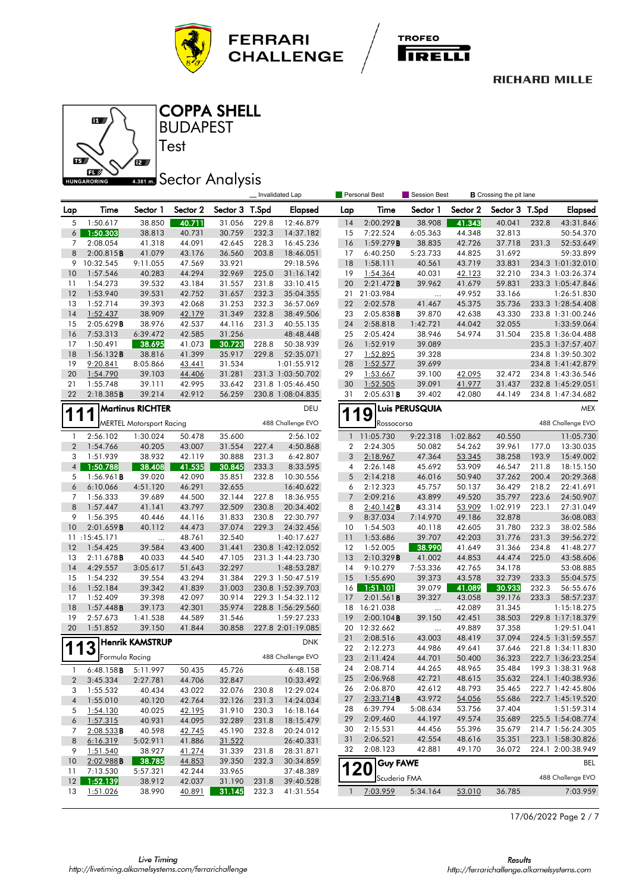





**BUDAPEST** COPPA SHELL

Test

# **Sector Analysis**

|                              |                                 |                                 |                  |                  |                | Invalidated Lap                  |                  | Personal Best          | Session Best<br><b>B</b> Crossing the pit lane |                  |                  |       |                                        |
|------------------------------|---------------------------------|---------------------------------|------------------|------------------|----------------|----------------------------------|------------------|------------------------|------------------------------------------------|------------------|------------------|-------|----------------------------------------|
| Lap                          | Time                            | Sector 1                        | Sector 2         | Sector 3         | T.Spd          | <b>Elapsed</b>                   | Lap              | Time                   | Sector 1                                       | Sector 2         | Sector 3         | T.Spd | <b>Elapsed</b>                         |
| 5                            | 1:50.617                        | 38.850                          | 40.711           | 31.056           | 229.8          | 12:46.879                        | 14               | 2:00.292B              | 38.908                                         | 41.343           | 40.041           | 232.8 | 43:31.846                              |
| 6                            | 1:50.303                        | 38.813                          | 40.731           | 30.759           | 232.3          | 14:37.182                        | 15               | 7:22.524               | 6:05.363                                       | 44.348           | 32.813           |       | 50:54.370                              |
| 7                            | 2:08.054                        | 41.318                          | 44.091           | 42.645           | 228.3          | 16:45.236                        | 16               | 1:59.279B              | 38.835                                         | 42.726           | 37.718           | 231.3 | 52:53.649                              |
| 8                            | 2:00.815B                       | 41.079                          | 43.176           | 36.560           | 203.8          | 18:46.051                        | 17               | 6:40.250               | 5:23.733                                       | 44.825           | 31.692           |       | 59:33.899                              |
| 9                            | 10:32.545                       | 9:11.055                        | 47.569           | 33.921           |                | 29:18.596                        | 18               | 1:58.111               | 40.561                                         | 43.719           | 33.831           |       | 234.3 1:01:32.010                      |
| 10                           | 1:57.546                        | 40.283                          | 44.294           | 32.969           | 225.0          | 31:16.142                        | 19               | 1:54.364               | 40.031                                         | 42.123           | 32.210           |       | 234.3 1:03:26.374                      |
| 11                           | 1:54.273                        | 39.532                          | 43.184           | 31.557           | 231.8          | 33:10.415                        | 20               | 2:21.472B              | 39.962                                         | 41.679           | 59.831           |       | 233.3 1:05:47.846                      |
| 12                           | 1:53.940                        | 39.531                          | 42.752           | 31.657           | 232.3          | 35:04.355                        | 21               | 21:03.984              |                                                | 49.952           | 33.166           |       | 1:26:51.830                            |
| 13<br>14                     | 1:52.714<br>1:52.437            | 39.393<br>38.909                | 42.068<br>42.179 | 31.253<br>31.349 | 232.3<br>232.8 | 36:57.069<br>38:49.506           | 22<br>23         | 2:02.578<br>2:05.838B  | 41.467<br>39.870                               | 45.375<br>42.638 | 35.736<br>43.330 |       | 233.3 1:28:54.408<br>233.8 1:31:00.246 |
| 15                           | 2:05.629B                       | 38.976                          | 42.537           | 44.116           | 231.3          | 40:55.135                        | 24               | 2:58.818               | 1:42.721                                       | 44.042           | 32.055           |       | 1:33:59.064                            |
| 16                           | 7:53.313                        | 6:39.472                        | 42.585           | 31.256           |                | 48:48.448                        | 25               | 2:05.424               | 38.946                                         | 54.974           | 31.504           |       | 235.8 1:36:04.488                      |
| 17                           | 1:50.491                        | 38.695                          | 41.073           | 30.723           | 228.8          | 50:38.939                        | 26               | 1:52.919               | 39.089                                         |                  |                  |       | 235.3 1:37:57.407                      |
| 18                           | 1:56.132B                       | 38.816                          | 41.399           | 35.917           | 229.8          | 52:35.071                        | 27               | 1:52.895               | 39.328                                         |                  |                  |       | 234.8 1:39:50.302                      |
| 19                           | 9:20.841                        | 8:05.866                        | 43.441           | 31.534           |                | 1:01:55.912                      | 28               | 1:52.577               | 39.699                                         |                  |                  |       | 234.8 1:41:42.879                      |
| 20                           | 1:54.790                        | 39.103                          | 44.406           | 31.281           |                | 231.3 1:03:50.702                | 29               | 1:53.667               | 39.100                                         | 42.095           | 32.472           |       | 234.8 1:43:36.546                      |
| 21                           | 1:55.748                        | 39.111                          | 42.995           | 33.642           |                | 231.8 1:05:46.450                | 30               | 1:52.505               | 39.091                                         | 41.977           | 31.437           |       | 232.8 1:45:29.051                      |
| 22                           | 2:18.385B                       | 39.214                          | 42.912           | 56.259           |                | 230.8 1:08:04.835                | 31               | 2:05.631B              | 39.402                                         | 42.080           | 44.149           |       | 234.8 1:47:34.682                      |
|                              |                                 | <b>Martinus RICHTER</b>         |                  |                  |                | DEU                              |                  |                        | Luis PERUSQUIA                                 |                  |                  |       | <b>MEX</b>                             |
| 1                            |                                 | <b>MERTEL Motorsport Racing</b> |                  |                  |                | 488 Challenge EVO                |                  | 9<br>1<br>Rossocorsa   |                                                |                  |                  |       | 488 Challenge EVO                      |
| $\mathbf{1}$                 | 2:56.102                        | 1:30.024                        | 50.478           | 35.600           |                | 2:56.102                         | 1                | 11:05.730              | 9:22.318                                       | 1:02.862         | 40.550           |       | 11:05.730                              |
| $\overline{2}$               | 1:54.766                        | 40.205                          | 43.007           | 31.554           | 227.4          | 4:50.868                         | $\boldsymbol{2}$ | 2:24.305               | 50.082                                         | 54.262           | 39.961           | 177.0 | 13:30.035                              |
| 3                            | 1:51.939                        | 38.932                          | 42.119           | 30.888           | 231.3          | 6:42.807                         | 3                | 2:18.967               | 47.364                                         | 53.345           | 38.258           | 193.9 | 15:49.002                              |
| $\overline{4}$               | 1:50.788                        | 38.408                          | 41.535           | 30.845           | 233.3          | 8:33.595                         | 4                | 2:26.148               | 45.692                                         | 53.909           | 46.547           | 211.8 | 18:15.150                              |
| 5                            | 1:56.961B                       | 39.020                          | 42.090           | 35.851           | 232.8          | 10:30.556                        | 5                | 2:14.218               | 46.016                                         | 50.940           | 37.262           | 200.4 | 20:29.368                              |
| 6                            | 6:10.066                        | 4:51.120                        | 46.291           | 32.655           |                | 16:40.622                        | 6                | 2:12.323               | 45.757                                         | 50.137           | 36.429           | 218.2 | 22:41.691                              |
| 7                            | 1:56.333                        | 39.689                          | 44.500           | 32.144           | 227.8          | 18:36.955                        | $\overline{7}$   | 2:09.216               | 43.899                                         | 49.520           | 35.797           | 223.6 | 24:50.907                              |
| 8                            | 1:57.447                        | 41.141                          | 43.797           | 32.509           | 230.8          | 20:34.402                        | 8                | $2:40.142$ B           | 43.314                                         | 53.909           | 1:02.919         | 223.1 | 27:31.049                              |
| 9                            | 1:56.395                        | 40.446                          | 44.116           | 31.833           | 230.8          | 22:30.797                        | 9                | 8:37.034               | 7:14.970                                       | 49.186           | 32.878           |       | 36:08.083                              |
| 10                           | 2:01.659B                       | 40.112                          | 44.473           | 37.074           | 229.3          | 24:32.456                        | 10               | 1:54.503               | 40.118                                         | 42.605           | 31.780           | 232.3 | 38:02.586                              |
|                              | 11:15:45.171                    | $\ldots$                        | 48.761           | 32.540           |                | 1:40:17.627                      | 11               | 1:53.686               | 39.707                                         | 42.203           | 31.776           | 231.3 | 39:56.272                              |
| 12                           | 1:54.425                        | 39.584                          | 43.400           | 31.441           |                | 230.8 1:42:12.052                | 12               | 1:52.005               | 38.990                                         | 41.649           | 31.366           | 234.8 | 41:48.277                              |
| 13                           | 2:11.678B                       | 40.033                          | 44.540           | 47.105           |                | 231.3 1:44:23.730                | 13               | 2:10.329B              | 41.002                                         | 44.853           | 44.474           | 225.0 | 43:58.606                              |
| 14                           | 4:29.557                        | 3:05.617                        | 51.643           | 32.297           |                | 1:48:53.287                      | 14               | 9:10.279               | 7:53.336                                       | 42.765           | 34.178           |       | 53:08.885                              |
| 15                           | 1:54.232                        | 39.554                          | 43.294           | 31.384           |                | 229.3 1:50:47.519                | 15               | 1:55.690               | 39.373                                         | 43.578           | 32.739           | 233.3 | 55:04.575                              |
| 16                           | 1:52.184                        | 39.342                          | 41.839           | 31.003           |                | 230.8 1:52:39.703                | 16               | 1:51.101               | 39.079                                         | 41.089           | 30.933           | 232.3 | 56:55.676                              |
| 17                           | 1:52.409                        | 39.398                          | 42.097           | 30.914           |                | 229.3 1:54:32.112                | 17               | 2:01.561B              | 39.327                                         | 43.058           | 39.176           | 233.3 | 58:57.237                              |
| 18                           | $1:57.448$ B                    | 39.173                          | 42.301           | 35.974           |                | 228.8 1:56:29.560                | 18               | 16:21.038              | $\cdots$                                       | 42.089           | 31.345           |       | 1:15:18.275                            |
| 19<br>20                     | 2:57.673<br>1:51.852            | 1:41.538<br>39.150              | 44.589<br>41.844 | 31.546           |                | 1:59:27.233<br>227.8 2:01:19.085 | 19<br>20         | 2:00.104B<br>12:32.662 | 39.150                                         | 42.451<br>49.889 | 38.503<br>37.358 |       | 229.8 1:17:18.379<br>1:29:51.041       |
|                              |                                 |                                 |                  | 30.858           |                |                                  | 21               | 2:08.516               | <br>43.003                                     | 48.419           | 37.094           |       | 224.5 1:31:59.557                      |
|                              | $\boldsymbol{3}$                | <b>Henrik KAMSTRUP</b>          |                  |                  |                | <b>DNK</b>                       | 22               | 2:12.273               | 44.986                                         | 49.641           | 37.646           |       | 221.8 1:34:11.830                      |
|                              | Formula Racing                  |                                 |                  |                  |                | 488 Challenge EVO                | 23               | 2:11.424               | 44.701                                         | 50.400           | 36.323           |       | 222.7 1:36:23.254                      |
|                              |                                 |                                 |                  |                  |                | 6:48.158                         | 24               | 2:08.714               | 44.265                                         | 48.965           | 35.484           |       | 199.3 1:38:31.968                      |
| 1<br>$\overline{\mathbf{c}}$ | $6:48.158$ <b>B</b><br>3:45.334 | 5:11.997<br>2:27.781            | 50.435<br>44.706 | 45.726<br>32.847 |                | 10:33.492                        | 25               | 2:06.968               | 42.721                                         | 48.615           | 35.632           |       | 224.1 1:40:38.936                      |
| 3                            | 1:55.532                        | 40.434                          | 43.022           | 32.076           | 230.8          | 12:29.024                        | 26               | 2:06.870               | 42.612                                         | 48.793           | 35.465           |       | 222.7 1:42:45.806                      |
| 4                            | 1:55.010                        | 40.120                          | 42.764           | 32.126           | 231.3          | 14:24.034                        | 27               | 2:33.714B              | 43.972                                         | 54.056           | 55.686           |       | 222.7 1:45:19.520                      |
| 5                            | 1:54.130                        | 40.025                          | 42.195           | 31.910           | 230.3          | 16:18.164                        | 28               | 6:39.794               | 5:08.634                                       | 53.756           | 37.404           |       | 1:51:59.314                            |
| 6                            | 1:57.315                        | 40.931                          | 44.095           | 32.289           | 231.8          | 18:15.479                        | 29               | 2:09.460               | 44.197                                         | 49.574           | 35.689           |       | 225.5 1:54:08.774                      |
| 7                            | 2:08.533B                       | 40.598                          | 42.745           | 45.190           | 232.8          | 20:24.012                        | 30               | 2:15.531               | 44.456                                         | 55.396           | 35.679           |       | 214.7 1:56:24.305                      |
| 8                            | 6:16.319                        | 5:02.911                        | 41.886           | 31.522           |                | 26:40.331                        | 31               | 2:06.521               | 42.554                                         | 48.616           | 35.351           |       | 223.1 1:58:30.826                      |
| 9                            | 1:51.540                        | 38.927                          | <u>41.274</u>    | 31.339           | 231.8          | 28:31.871                        | 32               | 2:08.123               | 42.881                                         | 49.170           | 36.072           |       | 224.1 2:00:38.949                      |
| 10                           | 2:02.988B                       | 38.785                          | 44.853           | 39.350           | 232.3          | 30:34.859                        |                  | <b>Guy FAWE</b>        |                                                |                  |                  |       | BEL                                    |
| 11                           | 7:13.530                        | 5:57.321                        | 42.244           | 33.965           |                | 37:48.389                        |                  | <b>120</b>             |                                                |                  |                  |       |                                        |
| 12                           | 1:52.139                        | 38.912                          | 42.037           | 31.190           | 231.8          | 39:40.528                        |                  | Scuderia FMA           |                                                |                  |                  |       | 488 Challenge EVO                      |
| 13                           | 1:51.026                        | 38.990                          | 40.891           | 31.145           | 232.3          | 41:31.554                        | $\mathbf{1}$     | 7:03.959               | 5:34.164                                       | 53.010           | 36.785           |       | 7:03.959                               |

17/06/2022 Page 2 / 7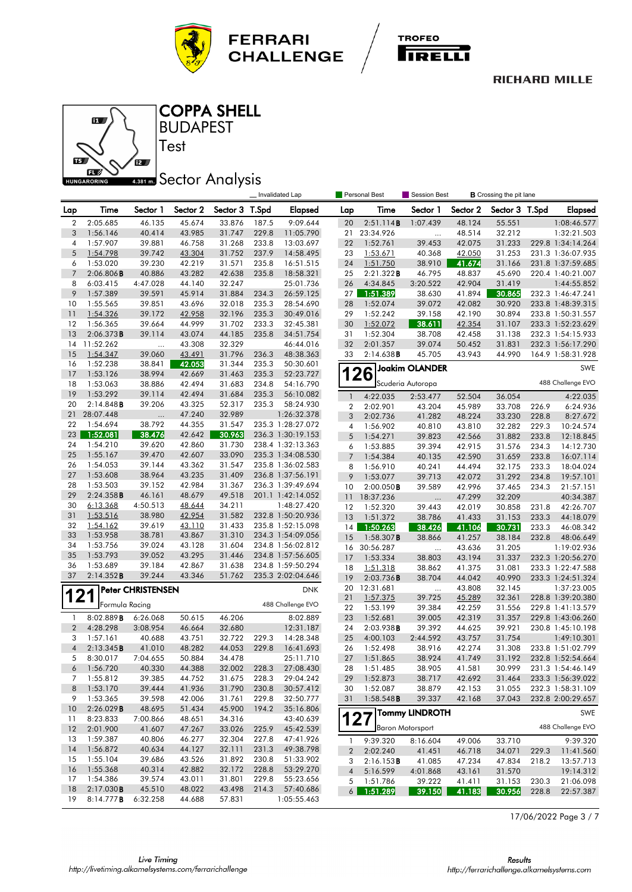





**BUDAPEST** COPPA SHELL

Test

# **Sector Analysis**

|                |                      |                          |                  |                  |                | Invalidated Lap        |                  | Personal Best        | Session Best<br><b>B</b> Crossing the pit lane |                  |                  |                |                        |
|----------------|----------------------|--------------------------|------------------|------------------|----------------|------------------------|------------------|----------------------|------------------------------------------------|------------------|------------------|----------------|------------------------|
| Lap            | Time                 | Sector 1                 | Sector 2         | Sector 3 T.Spd   |                | <b>Elapsed</b>         | Lap              | Time                 | Sector 1                                       | Sector 2         | Sector 3 T.Spd   |                | <b>Elapsed</b>         |
| $\overline{2}$ | 2:05.685             | 46.135                   | 45.674           | 33.876           | 187.5          | 9:09.644               | 20               | 2:51.114B            | 1:07.439                                       | 48.124           | 55.551           |                | 1:08:46.577            |
| 3              | 1:56.146             | 40.414                   | 43.985           | 31.747           | 229.8          | 11:05.790              | 21               | 23:34.926            | $\ddotsc$                                      | 48.514           | 32.212           |                | 1:32:21.503            |
| 4              | 1:57.907             | 39.881                   | 46.758           | 31.268           | 233.8          | 13:03.697              | 22               | 1:52.761             | 39.453                                         | 42.075           | 31.233           |                | 229.8 1:34:14.264      |
| 5              | 1:54.798             | 39.742                   | 43.304           | 31.752           | 237.9          | 14:58.495              | 23               | 1:53.671             | 40.368                                         | 42.050           | 31.253           |                | 231.3 1:36:07.935      |
| 6              | 1:53.020             | 39.230                   | 42.219           | 31.571           | 235.8          | 16:51.515              | 24               | 1:51.750             | 38.910                                         | 41.674           | 31.166           |                | 231.8 1:37:59.685      |
| $\overline{7}$ | 2:06.806B            | 40.886                   | 43.282           | 42.638           | 235.8          | 18:58.321              | 25               | 2:21.322B            | 46.795                                         | 48.837           | 45.690           |                | 220.4 1:40:21.007      |
| 8              | 6:03.415             | 4:47.028                 | 44.140           | 32.247           |                | 25:01.736              | 26               | 4:34.845             | 3:20.522                                       | 42.904           | 31.419           |                | 1:44:55.852            |
| 9              | 1:57.389             | 39.591                   | 45.914           | 31.884           | 234.3          | 26:59.125              | 27               | 1:51.389             | 38.630                                         | 41.894           | 30.865           |                | 232.3 1:46:47.241      |
| 10             | 1:55.565             | 39.851                   | 43.696           | 32.018           | 235.3          | 28:54.690              | 28               | 1:52.074             | 39.072                                         | 42.082           | 30.920           |                | 233.8 1:48:39.315      |
| 11             | 1:54.326             | 39.172                   | 42.958           | 32.196           | 235.3          | 30:49.016              | 29               | 1:52.242             | 39.158                                         | 42.190           | 30.894           |                | 233.8 1:50:31.557      |
| $12 \,$        | 1:56.365             | 39.664                   | 44.999           | 31.702           | 233.3          | 32:45.381              | 30               | 1:52.072             | 38.611                                         | 42.354           | 31.107           |                | 233.3 1:52:23.629      |
| 13             | 2:06.373B            | 39.114                   | 43.074           | 44.185           | 235.8          | 34:51.754              | 31               | 1:52.304             | 38.708                                         | 42.458           | 31.138           |                | 232.3 1:54:15.933      |
| 14             | 11:52.262            | $\ddotsc$                | 43.308           | 32.329           |                | 46:44.016              | 32               | 2:01.357             | 39.074                                         | 50.452           | 31.831           |                | 232.3 1:56:17.290      |
| 15             | 1:54.347             | 39.060                   | 43.491           | 31.796           | 236.3          | 48:38.363              | 33               | 2:14.638B            | 45.705                                         | 43.943           | 44.990           |                | 164.9 1:58:31.928      |
| 16             | 1:52.238             | 38.841                   | 42.053           | 31.344           | 235.3          | 50:30.601              |                  |                      | <b>Joakim OLANDER</b>                          |                  |                  |                | SWE                    |
| 17<br>18       | 1:53.126<br>1:53.063 | 38.994<br>38.886         | 42.669           | 31.463<br>31.683 | 235.3          | 52:23.727              |                  | 26                   | Scuderia Autoropa                              |                  |                  |                | 488 Challenge EVO      |
| 19             | 1:53.292             | 39.114                   | 42.494<br>42.494 | 31.684           | 234.8<br>235.3 | 54:16.790<br>56:10.082 |                  |                      |                                                |                  |                  |                |                        |
| 20             | 2:14.848B            | 39.206                   | 43.325           | 52.317           | 235.3          | 58:24.930              | $\mathbf{1}$     | 4:22.035             | 2:53.477                                       | 52.504           | 36.054           |                | 4:22.035               |
| 21             | 28:07.448            |                          | 47.240           | 32.989           |                | 1:26:32.378            | $\boldsymbol{2}$ | 2:02.901             | 43.204                                         | 45.989           | 33.708           | 226.9          | 6:24.936               |
| 22             | 1:54.694             | <br>38.792               | 44.355           | 31.547           |                | 235.3 1:28:27.072      | 3                | 2:02.736             | 41.282                                         | 48.224           | 33.230           | 228.8          | 8:27.672               |
| 23             | 1:52.081             | 38.476                   | 42.642           | 30.963           |                | 236.3 1:30:19.153      | 4                | 1:56.902<br>1:54.271 | 40.810                                         | 43.810<br>42.566 | 32.282           | 229.3          | 10:24.574              |
| 24             | 1:54.210             | 39.620                   | 42.860           | 31.730           |                | 238.4 1:32:13.363      | 5<br>6           | 1:53.885             | 39.823<br>39.394                               | 42.915           | 31.882<br>31.576 | 233.8<br>234.3 | 12:18.845<br>14:12.730 |
| 25             | 1:55.167             | 39.470                   | 42.607           | 33.090           |                | 235.3 1:34:08.530      | 7                | 1:54.384             | 40.135                                         | 42.590           | 31.659           | 233.8          | 16:07.114              |
| 26             | 1:54.053             | 39.144                   | 43.362           | 31.547           |                | 235.8 1:36:02.583      | 8                | 1:56.910             | 40.241                                         | 44.494           | 32.175           | 233.3          | 18:04.024              |
| 27             | 1:53.608             | 38.964                   | 43.235           | 31.409           |                | 236.8 1:37:56.191      | 9                | 1:53.077             | 39.713                                         | 42.072           | 31.292           | 234.8          | 19:57.101              |
| 28             | 1:53.503             | 39.152                   | 42.984           | 31.367           |                | 236.3 1:39:49.694      | 10               | 2:00.050B            | 39.589                                         | 42.996           | 37.465           | 234.3          | 21:57.151              |
| 29             | 2:24.358B            | 46.161                   | 48.679           | 49.518           |                | 201.1 1:42:14.052      | 11               | 18:37.236            | $\ldots$                                       | 47.299           | 32.209           |                | 40:34.387              |
| 30             | 6:13.368             | 4:50.513                 | 48.644           | 34.211           |                | 1:48:27.420            | 12               | 1:52.320             | 39.443                                         | 42.019           | 30.858           | 231.8          | 42:26.707              |
| 31             | 1:53.516             | 38.980                   | 42.954           | 31.582           |                | 232.8 1:50:20.936      | 13               | 1:51.372             | 38.786                                         | 41.433           | 31.153           | 233.3          | 44:18.079              |
| 32             | 1:54.162             | 39.619                   | 43.110           | 31.433           |                | 235.8 1:52:15.098      | 14               | 1:50.263             | 38.426                                         | 41.106           | 30.731           | 233.3          | 46:08.342              |
| 33             | 1:53.958             | 38.781                   | 43.867           | 31.310           |                | 234.3 1:54:09.056      | 15               | 1:58.307B            | 38.866                                         | 41.257           | 38.184           | 232.8          | 48:06.649              |
| 34             | 1:53.756             | 39.024                   | 43.128           | 31.604           |                | 234.8 1:56:02.812      | 16               | 30:56.287            | $\ddotsc$                                      | 43.636           | 31.205           |                | 1:19:02.936            |
| 35             | 1:53.793             | 39.052                   | 43.295           | 31.446           |                | 234.8 1:57:56.605      | 17               | 1:53.334             | 38.803                                         | 43.194           | 31.337           |                | 232.3 1:20:56.270      |
| 36             | 1:53.689             | 39.184                   | 42.867           | 31.638           |                | 234.8 1:59:50.294      | 18               | 1:51.318             | 38.862                                         | 41.375           | 31.081           |                | 233.3 1:22:47.588      |
| 37             | 2:14.352B            | 39.244                   | 43.346           | 51.762           |                | 235.3 2:02:04.646      | 19               | 2:03.736B            | 38.704                                         | 44.042           | 40.990           |                | 233.3 1:24:51.324      |
|                |                      | <b>Peter CHRISTENSEN</b> |                  |                  |                | <b>DNK</b>             | 20               | 12:31.681            | $\ldots$                                       | 43.808           | 32.145           |                | 1:37:23.005            |
| 121            |                      |                          |                  |                  |                |                        | 21               | 1:57.375             | 39.725                                         | 45.289           | 32.361           |                | 228.8 1:39:20.380      |
|                | Formula Racing       |                          |                  |                  |                | 488 Challenge EVO      | 22               | 1:53.199             | 39.384                                         | 42.259           | 31.556           |                | 229.8 1:41:13.579      |
| 1              | 8:02.889B            | 6:26.068                 | 50.615           | 46.206           |                | 8:02.889               | 23               | 1:52.681             | 39.005                                         | 42.319           | 31.357           |                | 229.8 1:43:06.260      |
| $\overline{2}$ | 4:28.298             | 3:08.954                 | 46.664           | 32.680           |                | 12:31.187              | 24               | 2:03.938B            | 39.392                                         | 44.625           | 39.921           |                | 230.8 1:45:10.198      |
| 3              | 1:57.161             | 40.688                   | 43.751           | 32.722           | 229.3          | 14:28.348              | 25               | 4:00.103             | 2:44.592                                       | 43.757           | 31.754           |                | 1:49:10.301            |
| $\overline{4}$ | $2:13.345$ <b>B</b>  | 41.010                   | 48.282           | 44.053           | 229.8          | 16:41.693              | 26               | 1:52.498             | 38.916                                         | 42.274           | 31.308           |                | 233.8 1:51:02.799      |
| 5              | 8:30.017             | 7:04.655                 | 50.884           | 34.478           |                | 25:11.710              | 27               | 1:51.865             | 38.924                                         | 41.749           | 31.192           |                | 232.8 1:52:54.664      |
| 6              | 1:56.720             | 40.330                   | 44.388           | 32.002           | 228.3          | 27:08.430              | 28               | 1:51.485             | 38.905                                         | 41.581           | 30.999           |                | 231.3 1:54:46.149      |
| 7              | 1:55.812             | 39.385                   | 44.752           | 31.675           | 228.3          | 29:04.242              | 29               | 1:52.873             | 38.717                                         | 42.692           | 31.464           |                | 233.3 1:56:39.022      |
| 8              | 1:53.170             | 39.444                   | 41.936           | 31.790           | 230.8          | 30:57.412              | 30               | 1:52.087             | 38.879                                         | 42.153           | 31.055           |                | 232.3 1:58:31.109      |
| 9              | 1:53.365             | 39.598                   | 42.006           | 31.761           | 229.8          | 32:50.777              | 31               | 1:58.548B            | 39.337                                         | 42.168           | 37.043           |                | 232.8 2:00:29.657      |
| 10             | 2:26.029B            | 48.695                   | 51.434           | 45.900           | 194.2          | 35:16.806              |                  |                      | Tommy LINDROTH                                 |                  |                  |                | SWE                    |
| 11             | 8:23.833             | 7:00.866                 | 48.651           | 34.316           |                | 43:40.639              | 1                | 27                   | <b>Baron Motorsport</b>                        |                  |                  |                | 488 Challenge EVO      |
| 12             | 2:01.900<br>1:59.387 | 41.607                   | 47.267           | 33.026           | 225.9          | 45:42.539              |                  |                      |                                                |                  |                  |                |                        |
| 13<br>14       | 1:56.872             | 40.806<br>40.634         | 46.277<br>44.127 | 32.304<br>32.111 | 227.8<br>231.3 | 47:41.926<br>49:38.798 | 1                | 9:39.320             | 8:16.604                                       | 49.006           | 33.710           |                | 9:39.320               |
| 15             | 1:55.104             | 39.686                   | 43.526           | 31.892           | 230.8          | 51:33.902              | $\boldsymbol{2}$ | 2:02.240             | 41.451                                         | 46.718           | 34.071           | 229.3          | 11:41.560              |
| 16             | 1:55.368             | 40.314                   | 42.882           | 32.172           | 228.8          | 53:29.270              | 3                | 2:16.153B            | 41.085                                         | 47.234           | 47.834           | 218.2          | 13:57.713              |
| 17             | 1:54.386             | 39.574                   | 43.011           | 31.801           | 229.8          | 55:23.656              | $\sqrt{4}$       | 5:16.599             | 4:01.868                                       | 43.161           | 31.570           |                | 19:14.312              |
| 18             | 2:17.030B            | 45.510                   | 48.022           | 43.498           | 214.3          | 57:40.686              | 5                | 1:51.786             | 39.222                                         | 41.411           | 31.153           | 230.3          | 21:06.098              |
| 19             | 8:14.777B            | 6:32.258                 | 44.688           | 57.831           |                | 1:05:55.463            | $6 \mid$         | 1:51.289             | 39.150                                         | 41.183           | 30.956           | 228.8          | 22:57.387              |

17/06/2022 Page 3 / 7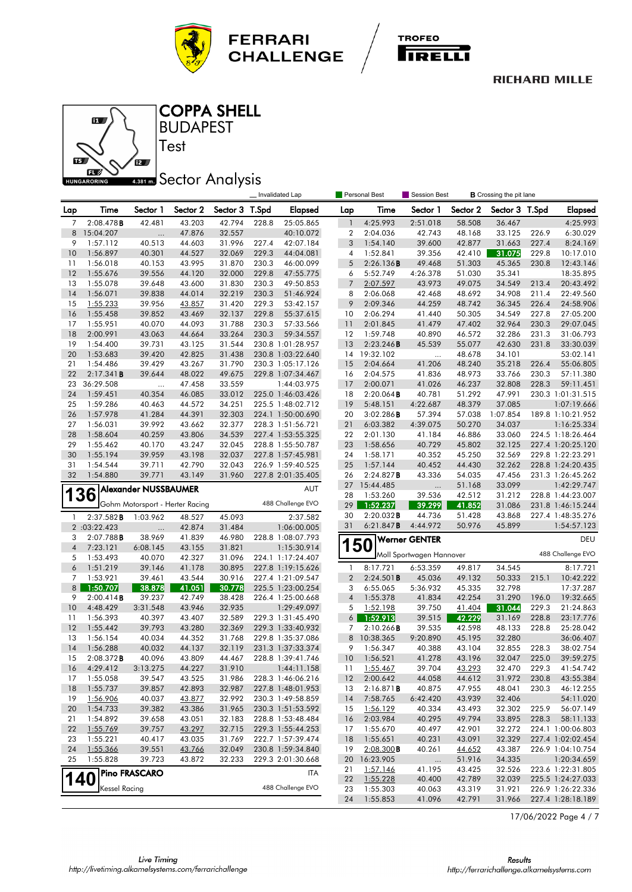





**BUDAPEST** COPPA SHELL

Test

## **ABB1 mm** Sector Analysis

|                |                             |                             |                                 |                  |       | Invalidated Lap                  |                  | Personal Best        | Session Best             |                  | <b>B</b> Crossing the pit lane |                |                        |
|----------------|-----------------------------|-----------------------------|---------------------------------|------------------|-------|----------------------------------|------------------|----------------------|--------------------------|------------------|--------------------------------|----------------|------------------------|
| Lap            | Time                        | Sector 1                    | Sector 2                        | Sector 3 T.Spd   |       | <b>Elapsed</b>                   | Lap              | Time                 | Sector 1                 | Sector 2         | Sector 3 T.Spd                 |                | <b>Elapsed</b>         |
| 7              | 2:08.478B                   | 42.481                      | 43.203                          | 42.794           | 228.8 | 25:05.865                        | $\mathbf{1}$     | 4:25.993             | 2:51.018                 | 58.508           | 36.467                         |                | 4:25.993               |
| 8              | 15:04.207                   |                             | 47.876                          | 32.557           |       | 40:10.072                        | $\boldsymbol{2}$ | 2:04.036             | 42.743                   | 48.168           | 33.125                         | 226.9          | 6:30.029               |
| 9              | 1:57.112                    | 40.513                      | 44.603                          | 31.996           | 227.4 | 42:07.184                        | 3                | 1:54.140             | 39.600                   | 42.877           | 31.663                         | 227.4          | 8:24.169               |
| 10             | 1:56.897                    | 40.301                      | 44.527                          | 32.069           | 229.3 | 44:04.081                        | 4                | 1:52.841             | 39.356                   | 42.410           | 31.075                         | 229.8          | 10:17.010              |
| 11             | 1:56.018                    | 40.153                      | 43.995                          | 31.870           | 230.3 | 46:00.099                        | 5                | 2:26.136B            | 49.468                   | 51.303           | 45.365                         | 230.8          | 12:43.146              |
| 12             | 1:55.676                    | 39.556                      | 44.120                          | 32.000           | 229.8 | 47:55.775                        | 6                | 5:52.749             | 4:26.378                 | 51.030           | 35.341                         |                | 18:35.895              |
| 13             | 1:55.078                    | 39.648                      | 43.600                          | 31.830           | 230.3 | 49:50.853                        | $7\overline{ }$  | 2:07.597             | 43.973                   | 49.075           | 34.549                         | 213.4          | 20:43.492              |
| 14             | 1:56.071                    | 39.838                      | 44.014                          | 32.219           | 230.3 | 51:46.924                        | 8                | 2:06.068             | 42.468                   | 48.692           | 34.908                         | 211.4          | 22:49.560              |
| 15             | 1:55.233                    | 39.956                      | 43.857                          | 31.420           | 229.3 | 53:42.157                        | 9                | 2:09.346             | 44.259                   | 48.742           | 36.345                         | 226.4          | 24:58.906              |
| 16             | 1:55.458                    | 39.852                      | 43.469                          | 32.137           | 229.8 | 55:37.615                        | 10               | 2:06.294             | 41.440                   | 50.305           | 34.549                         | 227.8          | 27:05.200              |
| 17             | 1:55.951                    | 40.070                      | 44.093                          | 31.788           | 230.3 | 57:33.566                        | 11               | 2:01.845             | 41.479                   | 47.402           | 32.964                         | 230.3          | 29:07.045              |
| 18             | 2:00.991                    | 43.063                      | 44.664                          | 33.264           | 230.3 | 59:34.557                        | 12               | 1:59.748             | 40.890                   | 46.572           | 32.286                         | 231.3          | 31:06.793              |
| 19             | 1:54.400                    | 39.731                      | 43.125                          | 31.544           |       | 230.8 1:01:28.957                | 13               | 2:23.246B            | 45.539                   | 55.077           | 42.630                         | 231.8          | 33:30.039              |
| 20             | 1:53.683                    | 39.420                      | 42.825                          | 31.438<br>31.790 |       | 230.8 1:03:22.640                | 14               | 19:32.102            | $\ddotsc$                | 48.678           | 34.101                         |                | 53:02.141              |
| 21<br>22       | 1:54.486                    | 39.429                      | 43.267<br>48.022                |                  |       | 230.3 1:05:17.126                | 15<br>16         | 2:04.664             | 41.206                   | 48.240<br>48.973 | 35.218                         | 226.4          | 55:06.805              |
| 23             | 2:17.341B<br>36:29.508      | 39.644                      | 47.458                          | 49.675<br>33.559 |       | 229.8 1:07:34.467<br>1:44:03.975 | 17               | 2:04.575<br>2:00.071 | 41.836<br>41.026         | 46.237           | 33.766<br>32.808               | 230.3<br>228.3 | 57:11.380<br>59:11.451 |
| 24             | 1:59.451                    | <br>40.354                  | 46.085                          | 33.012           |       | 225.0 1:46:03.426                | 18               | 2:20.064B            | 40.781                   | 51.292           | 47.991                         |                | 230.3 1:01:31.515      |
| 25             | 1:59.286                    | 40.463                      | 44.572                          | 34.251           |       | 225.5 1:48:02.712                | 19               | 5:48.151             | 4:22.687                 | 48.379           | 37.085                         |                | 1:07:19.666            |
| 26             | 1:57.978                    | 41.284                      | 44.391                          | 32.303           |       | 224.1 1:50:00.690                | 20               | 3:02.286B            | 57.394                   | 57.038           | 1:07.854                       |                | 189.8 1:10:21.952      |
| 27             | 1:56.031                    | 39.992                      | 43.662                          | 32.377           |       | 228.3 1:51:56.721                | 21               | 6:03.382             | 4:39.075                 | 50.270           | 34.037                         |                | 1:16:25.334            |
| 28             | 1:58.604                    | 40.259                      | 43.806                          | 34.539           |       | 227.4 1:53:55.325                | 22               | 2:01.130             | 41.184                   | 46.886           | 33.060                         |                | 224.5 1:18:26.464      |
| 29             | 1:55.462                    | 40.170                      | 43.247                          | 32.045           |       | 228.8 1:55:50.787                | 23               | 1:58.656             | 40.729                   | 45.802           | 32.125                         |                | 227.4 1:20:25.120      |
| 30             | 1:55.194                    | 39.959                      | 43.198                          | 32.037           |       | 227.8 1:57:45.981                | 24               | 1:58.171             | 40.352                   | 45.250           | 32.569                         |                | 229.8 1:22:23.291      |
| 31             | 1:54.544                    | 39.711                      | 42.790                          | 32.043           |       | 226.9 1:59:40.525                | 25               | 1:57.144             | 40.452                   | 44.430           | 32.262                         |                | 228.8 1:24:20.435      |
| 32             | 1:54.880                    | 39.771                      | 43.149                          | 31.960           |       | 227.8 2:01:35.405                | 26               | 2:24.827B            | 43.336                   | 54.035           | 47.456                         |                | 231.3 1:26:45.262      |
|                |                             |                             |                                 |                  |       |                                  | 27               | 15:44.485            | $\ldots$                 | 51.168           | 33.099                         |                | 1:42:29.747            |
|                | 136                         | <b>Alexander NUSSBAUMER</b> |                                 |                  |       | <b>AUT</b>                       | 28               | 1:53.260             | 39.536                   | 42.512           | 31.212                         |                | 228.8 1:44:23.007      |
|                |                             |                             | Gohm Motorsport - Herter Racing |                  |       | 488 Challenge EVO                | 29               | 1:52.237             | 39.299                   | 41.852           | 31.086                         |                | 231.8 1:46:15.244      |
| 1              | 2:37.582B                   | 1:03.962                    | 48.527                          | 45.093           |       | 2:37.582                         | 30               | 2:20.032B            | 44.736                   | 51.428           | 43.868                         |                | 227.4 1:48:35.276      |
|                | 2:03:22.423                 |                             | 42.874                          | 31.484           |       | 1:06:00.005                      | 31               | 6:21.847B            | 4:44.972                 | 50.976           | 45.899                         |                | 1:54:57.123            |
| 3              | 2:07.788B                   | 38.969                      | 41.839                          | 46.980           |       | 228.8 1:08:07.793                |                  |                      | <b>Werner GENTER</b>     |                  |                                |                | DEU                    |
| $\overline{4}$ | 7:23.121                    | 6:08.145                    | 43.155                          | 31.821           |       | 1:15:30.914                      | <b>150</b>       |                      |                          |                  |                                |                |                        |
| 5              | 1:53.493                    | 40.070                      | 42.327                          | 31.096           |       | 224.1 1:17:24.407                |                  |                      | Moll Sportwagen Hannover |                  |                                |                | 488 Challenge EVO      |
| 6              | 1:51.219                    | 39.146                      | 41.178                          | 30.895           |       | 227.8 1:19:15.626                | $\mathbf{1}$     | 8:17.721             | 6:53.359                 | 49.817           | 34.545                         |                | 8:17.721               |
| 7              | 1:53.921                    | 39.461                      | 43.544                          | 30.916           |       | 227.4 1:21:09.547                | $\overline{2}$   | 2:24.501B            | 45.036                   | 49.132           | 50.333                         | 215.1          | 10:42.222              |
| 8              | 1:50.707                    | 38.878                      | 41.051                          | 30.778           |       | 225.5 1:23:00.254                | 3                | 6:55.065             | 5:36.932                 | 45.335           | 32.798                         |                | 17:37.287              |
| 9              | 2:00.414B                   | 39.237                      | 42.749                          | 38.428           |       | 226.4 1:25:00.668                | $\sqrt{4}$       | 1:55.378             | 41.834                   | 42.254           | 31.290                         | 196.0          | 19:32.665              |
| 10             | 4:48.429                    | 3:31.548                    | 43.946                          | 32.935           |       | 1:29:49.097                      | 5                | 1:52.198             | 39.750                   | 41.404           | 31.044                         | 229.3          | 21:24.863              |
| 11             | 1:56.393                    | 40.397                      | 43.407                          | 32.589           |       | 229.3 1:31:45.490                | 6 <sup>1</sup>   | 1:52.913             | 39.515                   | 42.229           | 31.169                         | 228.8          | 23:17.776              |
| 12             | 1:55.442                    | 39.793                      | 43.280                          | 32.369           |       | 229.3 1:33:40.932                | 7                | 2:10.266B            | 39.535                   | 42.598           | 48.133                         | 228.8          | 25:28.042              |
| 13             | 1:56.154                    | 40.034                      | 44.352                          | 31.768           |       | 229.8 1:35:37.086                | 8                | 10:38.365            | 9:20.890                 | 45.195           | 32.280                         |                | 36:06.407              |
| 14             | 1:56.288                    | 40.032                      | 44.137                          | 32.119           |       | 231.3 1:37:33.374                | 9                | 1:56.347             | 40.388                   | 43.104           | 32.855                         | 228.3          | 38:02.754              |
| 15             | $2:08.372$ B                | 40.096                      | 43.809                          | 44.467           |       | 228.8 1:39:41.746                | 10               | 1:56.521             | 41.278                   | 43.196           | 32.047                         | 225.0          | 39:59.275              |
| 16             | 4:29.412                    | 3:13.275                    | 44.227                          | 31.910           |       | 1:44:11.158                      | 11               | 1:55.467             | 39.704                   | 43.293           | 32.470                         | 229.3          | 41:54.742              |
| 17             | 1:55.058                    | 39.547                      | 43.525                          | 31.986           |       | 228.3 1:46:06.216                | 12               | 2:00.642             | 44.058                   | 44.612           | 31.972                         | 230.8          | 43:55.384              |
| 18             | 1:55.737                    | 39.857                      | 42.893                          | 32.987           |       | 227.8 1:48:01.953                | 13               | 2:16.871B            | 40.875                   | 47.955           | 48.041                         | 230.3          | 46:12.255              |
| 19             | 1:56.906                    | 40.037                      | 43.877                          | 32.992           |       | 230.3 1:49:58.859                | 14               | 7:58.765             | 6:42.420                 | 43.939           | 32.406                         |                | 54:11.020              |
| 20             | 1:54.733                    | 39.382                      | 43.386                          | 31.965           |       | 230.3 1:51:53.592                | 15               | 1:56.129             | 40.334                   | 43.493           | 32.302                         | 225.9          | 56:07.149              |
| 21             | 1:54.892                    | 39.658                      | 43.051                          | 32.183           |       | 228.8 1:53:48.484                | 16               | 2:03.984             | 40.295                   | 49.794           | 33.895                         | 228.3          | 58:11.133              |
| 22             | 1:55.769                    | 39.757                      | 43.297                          | 32.715           |       | 229.3 1:55:44.253                | 17               | 1:55.670             | 40.497                   | 42.901           | 32.272                         |                | 224.1 1:00:06.803      |
| 23             | 1:55.221                    | 40.417                      | 43.035                          | 31.769           |       | 222.7 1:57:39.474                | 18               | 1:55.651             | 40.231                   | 43.091           | 32.329                         |                | 227.4 1:02:02.454      |
| 24             | 1:55.366                    | 39.551                      | 43.766                          | 32.049           |       | 230.8 1:59:34.840                | 19               | $2:08.300$ B         | 40.261                   | 44.652           | 43.387                         |                | 226.9 1:04:10.754      |
| 25             | 1:55.828                    | 39.723                      | 43.872                          | 32.233           |       | 229.3 2:01:30.668                | 20               | 16:23.905            | $\cdots$                 | 51.916           | 34.335                         |                | 1:20:34.659            |
|                |                             | <b>Pino FRASCARO</b>        |                                 |                  |       | ITA                              | 21               | 1:57.146             | 41.195                   | 43.425           | 32.526                         |                | 223.6 1:22:31.805      |
|                | <b>140</b><br>Kessel Racing |                             |                                 |                  |       | 488 Challenge EVO                | 22               | 1:55.228             | 40.400                   | 42.789           | 32.039                         |                | 225.5 1:24:27.033      |
|                |                             |                             |                                 |                  |       |                                  | 23               | 1:55.303             | 40.063                   | 43.319           | 31.921                         |                | 226.9 1:26:22.336      |
|                |                             |                             |                                 |                  |       |                                  | 24               | 1:55.853             | 41.096                   | 42.791           | 31.966                         |                | 227.4 1:28:18.189      |

17/06/2022 Page 4 / 7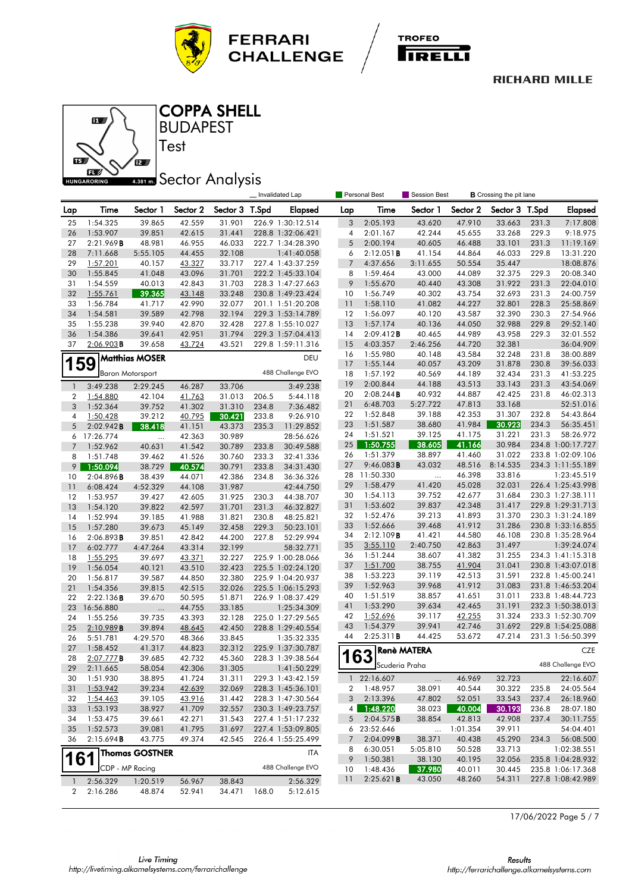





### **BUDAPEST** COPPA SHELL

Test

# **Sector Analysis**

|                |                      |                       |                  |                  |                | Invalidated Lap        | Personal Best<br>Session Best |                       |                    |                  | <b>B</b> Crossing the pit lane |       |                          |
|----------------|----------------------|-----------------------|------------------|------------------|----------------|------------------------|-------------------------------|-----------------------|--------------------|------------------|--------------------------------|-------|--------------------------|
| Lap            | Time                 | Sector 1              | Sector 2         | Sector 3 T.Spd   |                | <b>Elapsed</b>         | Lap                           | Time                  | Sector 1           | Sector 2         | Sector 3 T.Spd                 |       | <b>Elapsed</b>           |
| 25             | 1:54.325             | 39.865                | 42.559           | 31.901           |                | 226.9 1:30:12.514      | 3                             | 2:05.193              | 43.620             | 47.910           | 33.663                         | 231.3 | 7:17.808                 |
| 26             | 1:53.907             | 39.851                | 42.615           | 31.441           |                | 228.8 1:32:06.421      | 4                             | 2:01.167              | 42.244             | 45.655           | 33.268                         | 229.3 | 9:18.975                 |
| 27             | 2:21.969B            | 48.981                | 46.955           | 46.033           |                | 222.7 1:34:28.390      | 5                             | 2:00.194              | 40.605             | 46.488           | 33.101                         | 231.3 | 11:19.169                |
| 28             | 7:11.668             | 5:55.105              | 44.455           | 32.108           |                | 1:41:40.058            | 6                             | 2:12.051B             | 41.154             | 44.864           | 46.033                         | 229.8 | 13:31.220                |
| 29             | 1:57.201             | 40.157                | 43.327           | 33.717           |                | 227.4 1:43:37.259      | $\overline{7}$                | 4:37.656              | 3:11.655           | 50.554           | 35.447                         |       | 18:08.876                |
| 30             | 1:55.845             | 41.048                | 43.096           | 31.701           |                | 222.2 1:45:33.104      | 8                             | 1:59.464              | 43.000             | 44.089           | 32.375                         | 229.3 | 20:08.340                |
| 31             | 1:54.559             | 40.013                | 42.843           | 31.703           |                | 228.3 1:47:27.663      | 9                             | 1:55.670              | 40.440             | 43.308           | 31.922                         | 231.3 | 22:04.010                |
| 32             | 1:55.761             | 39.365                | 43.148           | 33.248           |                | 230.8 1:49:23.424      | 10                            | 1:56.749              | 40.302             | 43.754           | 32.693                         | 231.3 | 24:00.759                |
| 33             | 1:56.784             | 41.717                | 42.990           | 32.077           |                | 201.1 1:51:20.208      | 11                            | 1:58.110              | 41.082             | 44.227           | 32.801                         | 228.3 | 25:58.869                |
| 34             | 1:54.581             | 39.589                | 42.798           | 32.194           |                | 229.3 1:53:14.789      | 12                            | 1:56.097              | 40.120             | 43.587           | 32.390                         | 230.3 | 27:54.966                |
| 35             | 1:55.238             | 39.940                | 42.870           | 32.428           |                | 227.8 1:55:10.027      | 13                            | 1:57.174              | 40.136             | 44.050           | 32.988                         | 229.8 | 29:52.140                |
| 36             | 1:54.386             | 39.641                | 42.951           | 31.794           |                | 229.3 1:57:04.413      | 14                            | 2:09.412B             | 40.465             | 44.989           | 43.958                         | 229.3 | 32:01.552                |
| 37             | 2:06.903B            | 39.658                | 43.724           | 43.521           |                | 229.8 1:59:11.316      | 15                            | 4:03.357              | 2:46.256           | 44.720           | 32.381                         |       | 36:04.909                |
|                |                      | <b>Matthias MOSER</b> |                  |                  |                | DEU                    | 16                            | 1:55.980              | 40.148             | 43.584           | 32.248                         | 231.8 | 38:00.889                |
| 159            |                      |                       |                  |                  |                | 488 Challenge EVO      | 17                            | 1:55.144              | 40.057             | 43.209           | 31.878                         | 230.8 | 39:56.033                |
|                | Baron Motorsport     |                       |                  |                  |                |                        | 18                            | 1:57.192              | 40.569             | 44.189           | 32.434                         | 231.3 | 41:53.225                |
| $\mathbf{1}$   | 3:49.238             | 2:29.245              | 46.287           | 33.706           |                | 3:49.238               | 19                            | 2:00.844              | 44.188             | 43.513           | 33.143                         | 231.3 | 43:54.069                |
| 2              | 1:54.880             | 42.104                | 41.763           | 31.013           | 206.5          | 5:44.118               | 20<br>21                      | 2:08.244B<br>6:48.703 | 40.932<br>5:27.722 | 44.887<br>47.813 | 42.425<br>33.168               | 231.8 | 46:02.313<br>52:51.016   |
| 3              | 1:52.364             | 39.752                | 41.302           | 31.310           | 234.8          | 7:36.482               | 22                            | 1:52.848              | 39.188             | 42.353           | 31.307                         | 232.8 | 54:43.864                |
| 4              | 1:50.428             | 39.212                | 40.795           | 30.421           | 233.8          | 9:26.910               | 23                            | 1:51.587              | 38.680             | 41.984           | 30.923                         | 234.3 | 56:35.451                |
| 5              | 2:02.942B            | 38.418                | 41.151           | 43.373           | 235.3          | 11:29.852              | 24                            | 1:51.521              | 39.125             | 41.175           | 31.221                         | 231.3 | 58:26.972                |
| $\overline{7}$ | 6 17:26.774          | $\ldots$<br>40.631    | 42.363           | 30.989           |                | 28:56.626<br>30:49.588 | 25                            | 1:50.755              | 38.605             | 41.166           | 30.984                         |       | 234.8 1:00:17.727        |
| 8              | 1:52.962<br>1:51.748 |                       | 41.542<br>41.526 | 30.789           | 233.8<br>233.3 |                        | 26                            | 1:51.379              | 38.897             | 41.460           | 31.022                         |       | 233.8 1:02:09.106        |
| 9              | 1:50.094             | 39.462<br>38.729      | 40.574           | 30.760<br>30.791 | 233.8          | 32:41.336<br>34:31.430 | 27                            | 9:46.083B             | 43.032             | 48.516           | 8:14.535                       |       | 234.3 1:11:55.189        |
| 10             | 2:04.896B            | 38.439                | 44.071           | 42.386           | 234.8          | 36:36.326              | 28                            | 11:50.330             | $\ldots$           | 46.398           | 33.816                         |       | 1:23:45.519              |
| 11             | 6:08.424             | 4:52.329              | 44.108           | 31.987           |                | 42:44.750              | 29                            | 1:58.479              | 41.420             | 45.028           | 32.031                         |       | 226.4 1:25:43.998        |
| 12             | 1:53.957             | 39.427                | 42.605           | 31.925           | 230.3          | 44:38.707              | 30                            | 1:54.113              | 39.752             | 42.677           | 31.684                         |       | 230.3 1:27:38.111        |
| 13             | 1:54.120             | 39.822                | 42.597           | 31.701           | 231.3          | 46:32.827              | 31                            | 1:53.602              | 39.837             | 42.348           | 31.417                         |       | 229.8 1:29:31.713        |
| 14             | 1:52.994             | 39.185                | 41.988           | 31.821           | 230.8          | 48:25.821              | 32                            | 1:52.476              | 39.213             | 41.893           | 31.370                         |       | 230.3 1:31:24.189        |
| 15             | 1:57.280             | 39.673                | 45.149           | 32.458           | 229.3          | 50:23.101              | 33                            | 1:52.666              | 39.468             | 41.912           | 31.286                         |       | 230.8 1:33:16.855        |
| 16             | 2:06.893B            | 39.851                | 42.842           | 44.200           | 227.8          | 52:29.994              | 34                            | 2:12.109B             | 41.421             | 44.580           | 46.108                         |       | 230.8 1:35:28.964        |
| 17             | 6:02.777             | 4:47.264              | 43.314           | 32.199           |                | 58:32.771              | 35                            | 3:55.110              | 2:40.750           | 42.863           | 31.497                         |       | 1:39:24.074              |
| 18             | 1:55.295             | 39.697                | 43.371           | 32.227           |                | 225.9 1:00:28.066      | 36                            | 1:51.244              | 38.607             | 41.382           | 31.255                         |       | 234.3 1:41:15.318        |
| 19             | 1:56.054             | 40.121                | 43.510           | 32.423           |                | 225.5 1:02:24.120      | 37                            | 1:51.700              | 38.755             | 41.904           | 31.041                         |       | 230.8 1:43:07.018        |
| 20             | 1:56.817             | 39.587                | 44.850           | 32.380           |                | 225.9 1:04:20.937      | 38                            | 1:53.223              | 39.119             | 42.513           | 31.591                         |       | 232.8 1:45:00.241        |
| 21             | 1:54.356             | 39.815                | 42.515           | 32.026           |                | 225.5 1:06:15.293      | 39                            | 1:52.963              | 39.968             | 41.912           | 31.083                         |       | 231.8 1:46:53.204        |
| 22             | 2:22.136B            | 39.670                | 50.595           | 51.871           |                | 226.9 1:08:37.429      | 40                            | 1:51.519              | 38.857             | 41.651           | 31.011                         |       | 233.8 1:48:44.723        |
| 23             | 16:56.880            |                       | 44.755           | 33.185           |                | 1:25:34.309            | 41                            | 1:53.290              | 39.634             | 42.465           | 31.191                         |       | 232.3 1:50:38.013        |
| 24             | 1:55.256             | 39.735                | 43.393           | 32.128           |                | 225.0 1:27:29.565      | 42                            | 1:52.696              | 39.117             | 42.255           | 31.324                         |       | 233.3 1:52:30.709        |
| 25             | 2:10.989B            | 39.894                | 48.645           | 42.450           |                | 228.8 1:29:40.554      | 43                            | 1:54.379              | 39.941             | 42.746           | 31.692                         |       | 229.8 1:54:25.088        |
| 26             | 5:51.781             | 4:29.570              | 48.366           | 33.845           |                | 1:35:32.335            | 44                            | 2:25.311B             | 44.425             | 53.672           | 47.214                         |       | 231.3 1:56:50.399        |
| 27             | 1:58.452             | 41.317                | 44.823           | 32.312           |                | 225.9 1:37:30.787      |                               |                       | <b>Renè MATERA</b> |                  |                                |       | CZE                      |
| 28             | 2:07.777B            | 39.685                | 42.732           | 45.360           |                | 228.3 1:39:38.564      |                               | 163<br>Scuderia Praha |                    |                  |                                |       | 488 Challenge EVO        |
| 29             | 2:11.665             | 58.054                | 42.306           | 31.305           |                | 1:41:50.229            |                               |                       |                    |                  |                                |       |                          |
| 30             | 1:51.930             | 38.895                | 41.724           | 31.311           |                | 229.3 1:43:42.159      |                               | 1 22:16.607           | $\cdots$           | 46.969           | 32.723                         |       | 22:16.607                |
| 31             | 1:53.942             | 39.234                | 42.639           | 32.069           |                | 228.3 1:45:36.101      | $\overline{2}$                | 1:48.957              | 38.091             | 40.544           | 30.322                         | 235.8 | 24:05.564                |
| 32             | 1:54.463             | 39.105                | 43.916           | 31.442           |                | 228.3 1:47:30.564      | 3                             | 2:13.396              | 47.802             | 52.051           | 33.543                         | 237.4 | 26:18.960                |
| 33             | 1:53.193             | 38.927                | 41.709           | 32.557           |                | 230.3 1:49:23.757      |                               | 4 1:48.220            | 38.023             | 40.004           | 30.193                         | 236.8 | 28:07.180                |
| 34             | 1:53.475             | 39.661                | 42.271           | 31.543           |                | 227.4 1:51:17.232      | 5                             | 2:04.575B             | 38.854             | 42.813           | 42.908                         | 237.4 | 30:11.755                |
| 35             | 1:52.573             | 39.081                | 41.795           | 31.697           |                | 227.4 1:53:09.805      |                               | 6 23:52.646           | $\cdots$           | 1:01.354         | 39.911                         |       | 54:04.401                |
| 36             | 2:15.694B            | 43.775                | 49.374           | 42.545           |                | 226.4 1:55:25.499      | 7                             | 2:04.099B             | 38.371             | 40.438<br>50.528 | 45.290<br>33.713               | 234.3 | 56:08.500<br>1:02:38.551 |
| 161            |                      | <b>Thomas GOSTNER</b> |                  |                  |                | <b>ITA</b>             | 8<br>9                        | 6:30.051<br>1:50.381  | 5:05.810<br>38.130 | 40.195           | 32.056                         |       | 235.8 1:04:28.932        |
|                | CDP - MP Racing      |                       |                  |                  |                | 488 Challenge EVO      | 10                            | 1:48.436              | 37.980             | 40.011           | 30.445                         |       | 235.8 1:06:17.368        |
|                | 2:56.329             |                       |                  |                  |                |                        | 11                            | 2:25.621B             | 43.050             | 48.260           | 54.311                         |       | 227.8 1:08:42.989        |
| 1              |                      | 1:20.519              | 56.967           | 38.843           |                | 2:56.329               |                               |                       |                    |                  |                                |       |                          |
| 2              | 2:16.286             | 48.874                | 52.941           | 34.471           | 168.0          | 5:12.615               |                               |                       |                    |                  |                                |       |                          |

17/06/2022 Page 5 / 7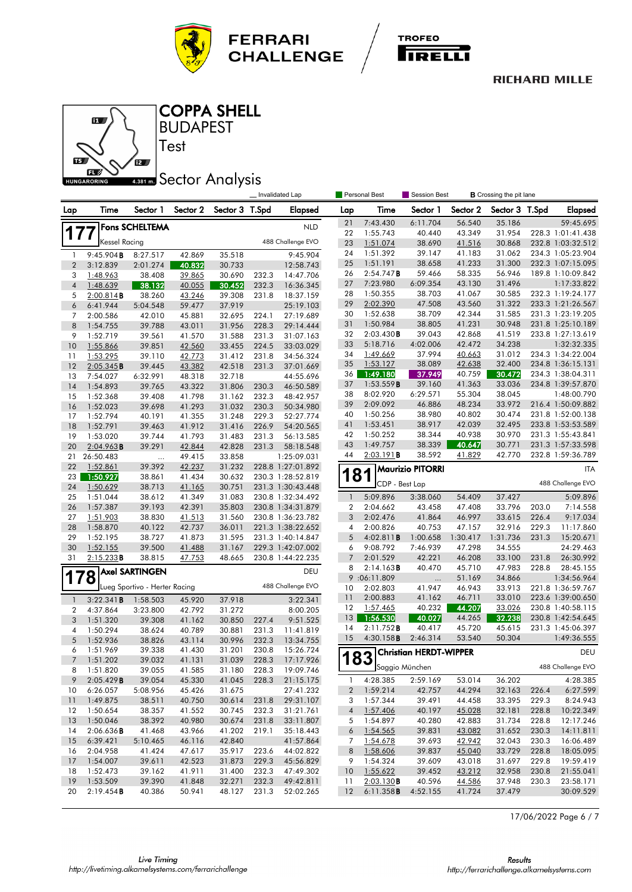





### **BUDAPEST** COPPA SHELL

Test

## **ABB1 mm** Sector Analysis

|                |                       |                               |                  |                  |                | Invalidated Lap        | Personal Best<br>Session Best<br><b>B</b> Crossing the pit lane |                      |                               |                  |                  |       |                                  |
|----------------|-----------------------|-------------------------------|------------------|------------------|----------------|------------------------|-----------------------------------------------------------------|----------------------|-------------------------------|------------------|------------------|-------|----------------------------------|
| Lap            | Time                  | Sector 1                      | Sector 2         | Sector 3 T.Spd   |                | <b>Elapsed</b>         | Lap                                                             | Time                 | Sector 1                      | Sector 2         | Sector 3 T.Spd   |       | <b>Elapsed</b>                   |
|                |                       | Fons SCHELTEMA                |                  |                  |                | <b>NLD</b>             | 21                                                              | 7:43.430             | 6:11.704                      | 56.540           | 35.186           |       | 59:45.695                        |
| 177            |                       |                               |                  |                  |                |                        | 22                                                              | 1:55.743             | 40.440                        | 43.349           | 31.954           |       | 228.3 1:01:41.438                |
|                | Kessel Racing         |                               |                  |                  |                | 488 Challenge EVO      | 23                                                              | 1:51.074             | 38.690                        | 41.516           | 30.868           |       | 232.8 1:03:32.512                |
| 1              | 9:45.904B             | 8:27.517                      | 42.869           | 35.518           |                | 9:45.904               | 24                                                              | 1:51.392             | 39.147                        | 41.183           | 31.062           |       | 234.3 1:05:23.904                |
| $\overline{2}$ | 3:12.839              | 2:01.274                      | 40.832           | 30.733           |                | 12:58.743              | 25                                                              | 1:51.191             | 38.658                        | 41.233           | 31.300           |       | 232.3 1:07:15.095                |
| 3              | 1:48.963              | 38.408                        | 39.865           | 30.690           | 232.3          | 14:47.706              | 26                                                              | 2:54.747B            | 59.466                        | 58.335           | 56.946           |       | 189.8 1:10:09.842                |
| $\overline{4}$ | 1:48.639              | 38.132                        | 40.055           | 30.452           | 232.3          | 16:36.345              | 27<br>28                                                        | 7:23.980<br>1:50.355 | 6:09.354<br>38.703            | 43.130<br>41.067 | 31.496<br>30.585 |       | 1:17:33.822<br>232.3 1:19:24.177 |
| 5              | 2:00.814B             | 38.260                        | 43.246           | 39.308           | 231.8          | 18:37.159              | 29                                                              | 2:02.390             | 47.508                        | 43.560           | 31.322           |       | 233.3 1:21:26.567                |
| 6              | 6:41.944              | 5:04.548                      | 59.477           | 37.919           |                | 25:19.103              | 30                                                              | 1:52.638             | 38.709                        | 42.344           | 31.585           |       | 231.3 1:23:19.205                |
| 7<br>8         | 2:00.586<br>1:54.755  | 42.010                        | 45.881           | 32.695<br>31.956 | 224.1<br>228.3 | 27:19.689<br>29:14.444 | 31                                                              | 1:50.984             | 38.805                        | 41.231           | 30.948           |       | 231.8 1:25:10.189                |
| 9              | 1:52.719              | 39.788<br>39.561              | 43.011<br>41.570 | 31.588           | 231.3          | 31:07.163              | 32                                                              | 2:03.430B            | 39.043                        | 42.868           | 41.519           |       | 233.8 1:27:13.619                |
| 10             | 1:55.866              | 39.851                        | 42.560           | 33.455           | 224.5          | 33:03.029              | 33                                                              | 5:18.716             | 4:02.006                      | 42.472           | 34.238           |       | 1:32:32.335                      |
| 11             | 1:53.295              | 39.110                        | 42.773           | 31.412           | 231.8          | 34:56.324              | 34                                                              | 1:49.669             | 37.994                        | 40.663           | 31.012           |       | 234.3 1:34:22.004                |
| 12             | 2:05.345B             | 39.445                        | 43.382           | 42.518           | 231.3          | 37:01.669              | 35                                                              | 1:53.127             | 38.089                        | 42.638           | 32.400           |       | 234.8 1:36:15.131                |
| 13             | 7:54.027              | 6:32.991                      | 48.318           | 32.718           |                | 44:55.696              | 36                                                              | 1:49.180             | 37.949                        | 40.759           | 30.472           |       | 234.3 1:38:04.311                |
| 14             | 1:54.893              | 39.765                        | 43.322           | 31.806           | 230.3          | 46:50.589              | 37                                                              | 1:53.559B            | 39.160                        | 41.363           | 33.036           |       | 234.8 1:39:57.870                |
| 15             | 1:52.368              | 39.408                        | 41.798           | 31.162           | 232.3          | 48:42.957              | 38                                                              | 8:02.920             | 6:29.571                      | 55.304           | 38.045           |       | 1:48:00.790                      |
| 16             | 1:52.023              | 39.698                        | 41.293           | 31.032           | 230.3          | 50:34.980              | 39                                                              | 2:09.092             | 46.886                        | 48.234           | 33.972           |       | 216.4 1:50:09.882                |
| 17             | 1:52.794              | 40.191                        | 41.355           | 31.248           | 229.3          | 52:27.774              | 40                                                              | 1:50.256             | 38.980                        | 40.802           | 30.474           |       | 231.8 1:52:00.138                |
| 18             | 1:52.791              | 39.463                        | 41.912           | 31.416           | 226.9          | 54:20.565              | 41                                                              | 1:53.451             | 38.917                        | 42.039           | 32.495           |       | 233.8 1:53:53.589                |
| 19             | 1:53.020              | 39.744                        | 41.793           | 31.483           | 231.3          | 56:13.585              | 42                                                              | 1:50.252             | 38.344                        | 40.938           | 30.970           |       | 231.3 1:55:43.841                |
| 20             | $2:04.963$ B          | 39.291                        | 42.844           | 42.828           | 231.3          | 58:18.548              | 43                                                              | 1:49.757             | 38.339                        | 40.647           | 30.771           |       | 231.3 1:57:33.598                |
| 21             | 26:50.483             |                               | 49.415           | 33.858           |                | 1:25:09.031            | 44                                                              | 2:03.191B            | 38.592                        | 41.829           | 42.770           |       | 232.8 1:59:36.789                |
| 22             | 1:52.861              | 39.392                        | 42.237           | 31.232           |                | 228.8 1:27:01.892      |                                                                 |                      | <b>Maurizio PITORRI</b>       |                  |                  |       | ITA                              |
| 23             | 1:50.927              | 38.861                        | 41.434           | 30.632           |                | 230.3 1:28:52.819      |                                                                 | 81                   |                               |                  |                  |       | 488 Challenge EVO                |
| 24             | 1:50.629              | 38.713                        | 41.165           | 30.751           |                | 231.3 1:30:43.448      |                                                                 | CDP - Best Lap       |                               |                  |                  |       |                                  |
| 25             | 1:51.044              | 38.612                        | 41.349           | 31.083           |                | 230.8 1:32:34.492      | $\mathbf{1}$                                                    | 5:09.896             | 3:38.060                      | 54.409           | 37.427           |       | 5:09.896                         |
| 26             | 1:57.387              | 39.193                        | 42.391           | 35.803           |                | 230.8 1:34:31.879      | $\boldsymbol{2}$                                                | 2:04.662             | 43.458                        | 47.408           | 33.796           | 203.0 | 7:14.558                         |
| 27             | 1:51.903              | 38.830                        | 41.513           | 31.560           |                | 230.8 1:36:23.782      | 3                                                               | 2:02.476             | 41.864                        | 46.997           | 33.615           | 226.4 | 9:17.034                         |
| 28             | 1:58.870              | 40.122                        | 42.737           | 36.011           |                | 221.3 1:38:22.652      | $\overline{\mathcal{A}}$                                        | 2:00.826             | 40.753                        | 47.157           | 32.916           | 229.3 | 11:17.860                        |
| 29             | 1:52.195              | 38.727                        | 41.873           | 31.595           |                | 231.3 1:40:14.847      | 5                                                               | 4:02.811B            | 1:00.658                      | 1:30.417         | 1:31.736         | 231.3 | 15:20.671                        |
| 30<br>31       | 1:52.155<br>2:15.233B | 39.500<br>38.815              | 41.488<br>47.753 | 31.167<br>48.665 |                | 229.3 1:42:07.002      | 6<br>$\overline{7}$                                             | 9:08.792<br>2:01.529 | 7:46.939<br>42.221            | 47.298<br>46.208 | 34.555<br>33.100 | 231.8 | 24:29.463<br>26:30.992           |
|                |                       |                               |                  |                  |                | 230.8 1:44:22.235      | 8                                                               | 2:14.163B            | 40.470                        | 45.710           | 47.983           | 228.8 | 28:45.155                        |
| 178            |                       | <b>Axel SARTINGEN</b>         |                  |                  |                | DEU                    |                                                                 | 9 :06:11.809         |                               | 51.169           | 34.866           |       | 1:34:56.964                      |
|                |                       | Lueg Sportivo - Herter Racing |                  |                  |                | 488 Challenge EVO      | 10                                                              | 2:02.803             | <br>41.947                    | 46.943           | 33.913           |       | 221.8 1:36:59.767                |
| $\mathbf{1}$   | 3:22.341B             | 1:58.503                      | 45.920           | 37.918           |                | 3:22.341               | 11                                                              | 2:00.883             | 41.162                        | 46.711           | 33.010           |       | 223.6 1:39:00.650                |
| $\overline{2}$ | 4:37.864              | 3:23.800                      | 42.792           | 31.272           |                | 8:00.205               | 12                                                              | 1:57.465             | 40.232                        | 44.207           | 33.026           |       | 230.8 1:40:58.115                |
| 3              | 1:51.320              | 39.308                        | 41.162           | 30.850           | 227.4          | 9:51.525               | 13                                                              | 1:56.530             | 40.027                        | 44.265           | 32.238           |       | 230.8 1:42:54.645                |
| 4              | 1:50.294              | 38.624                        | 40.789           | 30.881           | 231.3          | 11:41.819              | 14                                                              | 2:11.752B            | 40.417                        | 45.720           | 45.615           |       | 231.3 1:45:06.397                |
| 5              | 1:52.936              | 38.826                        | 43.114           | 30.996           | 232.3          | 13:34.755              | 15                                                              | 4:30.158B            | 2:46.314                      | 53.540           | 50.304           |       | 1:49:36.555                      |
| 6              | 1:51.969              | 39.338                        | 41.430           | 31.201           | 230.8          | 15:26.724              |                                                                 |                      | <b>Christian HERDT-WIPPER</b> |                  |                  |       | DEU                              |
| $\overline{7}$ | 1:51.202              | 39.032                        | 41.131           | 31.039           | 228.3          | 17:17.926              |                                                                 | 83                   |                               |                  |                  |       |                                  |
| 8              | 1:51.820              | 39.055                        | 41.585           | 31.180           | 228.3          | 19:09.746              |                                                                 |                      | Saggio München                |                  |                  |       | 488 Challenge EVO                |
| 9              | 2:05.429B             | 39.054                        | 45.330           | 41.045           | 228.3          | 21:15.175              | 1                                                               | 4:28.385             | 2:59.169                      | 53.014           | 36.202           |       | 4:28.385                         |
| 10             | 6:26.057              | 5:08.956                      | 45.426           | 31.675           |                | 27:41.232              | $\overline{2}$                                                  | 1:59.214             | 42.757                        | 44.294           | 32.163           | 226.4 | 6:27.599                         |
| 11             | 1:49.875              | 38.511                        | 40.750           | 30.614           | 231.8          | 29:31.107              | 3                                                               | 1:57.344             | 39.491                        | 44.458           | 33.395           | 229.3 | 8:24.943                         |
| 12             | 1:50.654              | 38.357                        | 41.552           | 30.745           | 232.3          | 31:21.761              | $\overline{\mathcal{A}}$                                        | 1:57.406             | 40.197                        | 45.028           | 32.181           | 228.8 | 10:22.349                        |
| 13             | 1:50.046              | 38.392                        | 40.980           | 30.674           | 231.8          | 33:11.807              | 5                                                               | 1:54.897             | 40.280                        | 42.883           | 31.734           | 228.8 | 12:17.246                        |
| 14             | 2:06.636B             | 41.468                        | 43.966           | 41.202           | 219.1          | 35:18.443              | 6                                                               | 1:54.565             | 39.831                        | 43.082           | 31.652           | 230.3 | 14:11.811                        |
| 15             | 6:39.421              | 5:10.465                      | 46.116           | 42.840           |                | 41:57.864              | 7                                                               | 1:54.678             | 39.693                        | 42.942           | 32.043           | 230.3 | 16:06.489                        |
| 16             | 2:04.958              | 41.424                        | 47.617           | 35.917           | 223.6          | 44:02.822              | 8                                                               | 1:58.606             | 39.837                        | 45.040           | 33.729           | 228.8 | 18:05.095                        |
| 17             | 1:54.007              | 39.611                        | 42.523           | 31.873           | 229.3          | 45:56.829              | 9                                                               | 1:54.324             | 39.609                        | 43.018           | 31.697           | 229.8 | 19:59.419                        |
| 18             | 1:52.473              | 39.162                        | 41.911           | 31.400           | 232.3          | 47:49.302              | 10                                                              | 1:55.622             | 39.452                        | 43.212           | 32.958           | 230.8 | 21:55.041                        |
| 19             | 1:53.509              | 39.390                        | 41.848           | 32.271           | 232.3          | 49:42.811              | 11                                                              | $2:03.130$ <b>B</b>  | 40.596                        | 44.586           | 37.948           | 230.3 | 23:58.171                        |
| 20             | 2:19.454B             | 40.386                        | 50.941           | 48.127           | 231.3          | 52:02.265              | 12                                                              | 6:11.358B            | 4:52.155                      | 41.724           | 37.479           |       | 30:09.529                        |

17/06/2022 Page 6 / 7